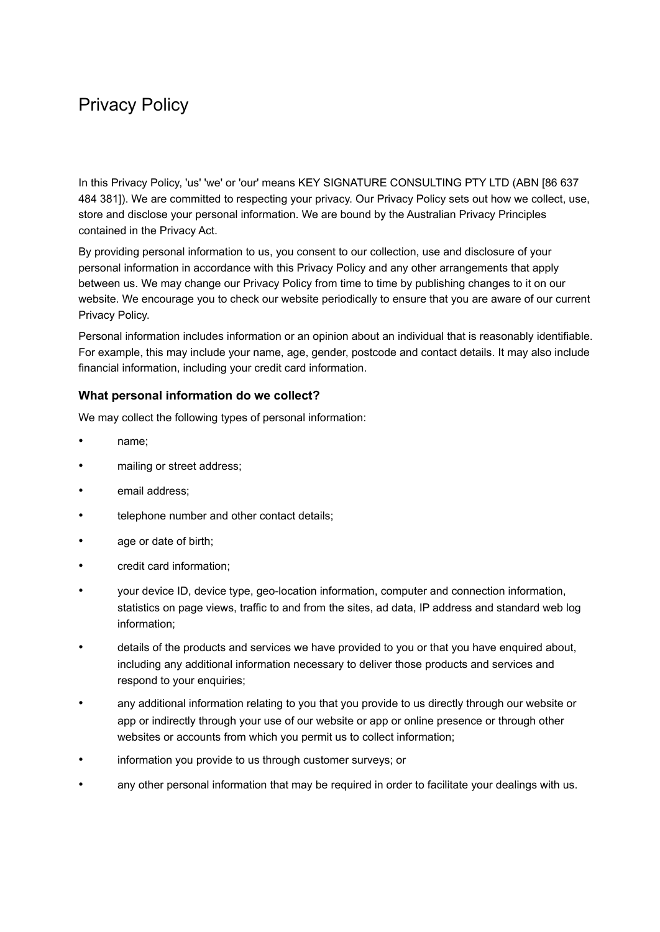# Privacy Policy

In this Privacy Policy, 'us' 'we' or 'our' means KEY SIGNATURE CONSULTING PTY LTD (ABN [86 637 484 381]). We are committed to respecting your privacy. Our Privacy Policy sets out how we collect, use, store and disclose your personal information. We are bound by the Australian Privacy Principles contained in the Privacy Act.

By providing personal information to us, you consent to our collection, use and disclosure of your personal information in accordance with this Privacy Policy and any other arrangements that apply between us. We may change our Privacy Policy from time to time by publishing changes to it on our website. We encourage you to check our website periodically to ensure that you are aware of our current Privacy Policy.

Personal information includes information or an opinion about an individual that is reasonably identifiable. For example, this may include your name, age, gender, postcode and contact details. It may also include financial information, including your credit card information.

## **What personal information do we collect?**

We may collect the following types of personal information:

- name;
- mailing or street address;
- email address;
- telephone number and other contact details;
- age or date of birth;
- credit card information;
- your device ID, device type, geo-location information, computer and connection information, statistics on page views, traffic to and from the sites, ad data, IP address and standard web log information;
- details of the products and services we have provided to you or that you have enquired about, including any additional information necessary to deliver those products and services and respond to your enquiries;
- any additional information relating to you that you provide to us directly through our website or app or indirectly through your use of our website or app or online presence or through other websites or accounts from which you permit us to collect information;
- information you provide to us through customer surveys; or
- any other personal information that may be required in order to facilitate your dealings with us.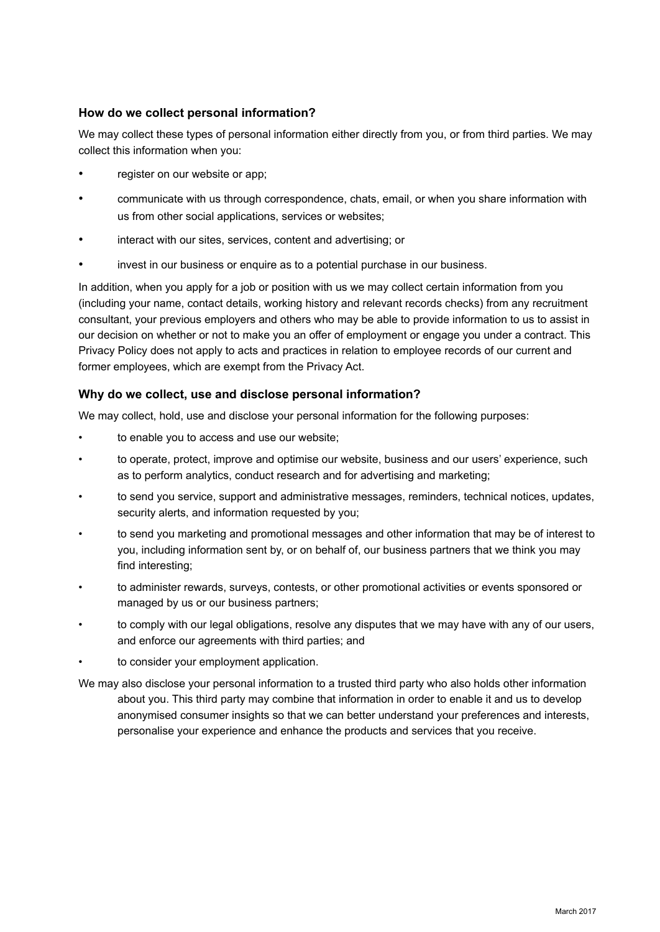# **How do we collect personal information?**

We may collect these types of personal information either directly from you, or from third parties. We may collect this information when you:

- register on our website or app;
- communicate with us through correspondence, chats, email, or when you share information with us from other social applications, services or websites;
- interact with our sites, services, content and advertising; or
- invest in our business or enquire as to a potential purchase in our business.

In addition, when you apply for a job or position with us we may collect certain information from you (including your name, contact details, working history and relevant records checks) from any recruitment consultant, your previous employers and others who may be able to provide information to us to assist in our decision on whether or not to make you an offer of employment or engage you under a contract. This Privacy Policy does not apply to acts and practices in relation to employee records of our current and former employees, which are exempt from the Privacy Act.

## **Why do we collect, use and disclose personal information?**

We may collect, hold, use and disclose your personal information for the following purposes:

- to enable you to access and use our website;
- to operate, protect, improve and optimise our website, business and our users' experience, such as to perform analytics, conduct research and for advertising and marketing;
- to send you service, support and administrative messages, reminders, technical notices, updates, security alerts, and information requested by you;
- to send you marketing and promotional messages and other information that may be of interest to you, including information sent by, or on behalf of, our business partners that we think you may find interesting;
- to administer rewards, surveys, contests, or other promotional activities or events sponsored or managed by us or our business partners;
- to comply with our legal obligations, resolve any disputes that we may have with any of our users, and enforce our agreements with third parties; and
- to consider your employment application.

We may also disclose your personal information to a trusted third party who also holds other information about you. This third party may combine that information in order to enable it and us to develop anonymised consumer insights so that we can better understand your preferences and interests, personalise your experience and enhance the products and services that you receive.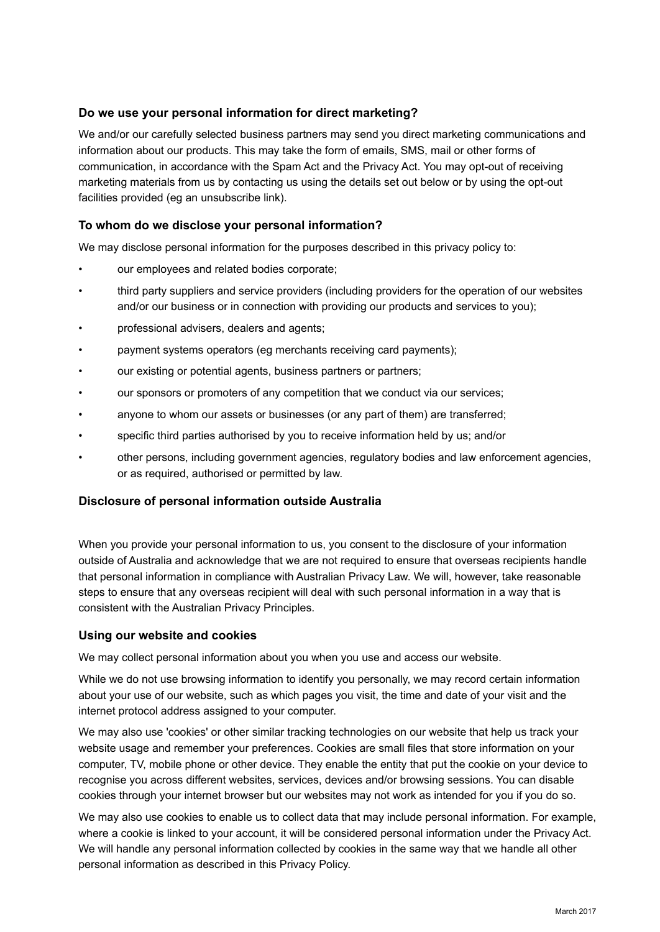## **Do we use your personal information for direct marketing?**

We and/or our carefully selected business partners may send you direct marketing communications and information about our products. This may take the form of emails, SMS, mail or other forms of communication, in accordance with the Spam Act and the Privacy Act. You may opt-out of receiving marketing materials from us by contacting us using the details set out below or by using the opt-out facilities provided (eg an unsubscribe link).

# **To whom do we disclose your personal information?**

We may disclose personal information for the purposes described in this privacy policy to:

- our employees and related bodies corporate;
- third party suppliers and service providers (including providers for the operation of our websites and/or our business or in connection with providing our products and services to you);
- professional advisers, dealers and agents;
- payment systems operators (eg merchants receiving card payments);
- our existing or potential agents, business partners or partners;
- our sponsors or promoters of any competition that we conduct via our services;
- anyone to whom our assets or businesses (or any part of them) are transferred;
- specific third parties authorised by you to receive information held by us; and/or
- other persons, including government agencies, regulatory bodies and law enforcement agencies, or as required, authorised or permitted by law.

## **Disclosure of personal information outside Australia**

When you provide your personal information to us, you consent to the disclosure of your information outside of Australia and acknowledge that we are not required to ensure that overseas recipients handle that personal information in compliance with Australian Privacy Law. We will, however, take reasonable steps to ensure that any overseas recipient will deal with such personal information in a way that is consistent with the Australian Privacy Principles.

## **Using our website and cookies**

We may collect personal information about you when you use and access our website.

While we do not use browsing information to identify you personally, we may record certain information about your use of our website, such as which pages you visit, the time and date of your visit and the internet protocol address assigned to your computer.

We may also use 'cookies' or other similar tracking technologies on our website that help us track your website usage and remember your preferences. Cookies are small files that store information on your computer, TV, mobile phone or other device. They enable the entity that put the cookie on your device to recognise you across different websites, services, devices and/or browsing sessions. You can disable cookies through your internet browser but our websites may not work as intended for you if you do so.

We may also use cookies to enable us to collect data that may include personal information. For example, where a cookie is linked to your account, it will be considered personal information under the Privacy Act. We will handle any personal information collected by cookies in the same way that we handle all other personal information as described in this Privacy Policy.